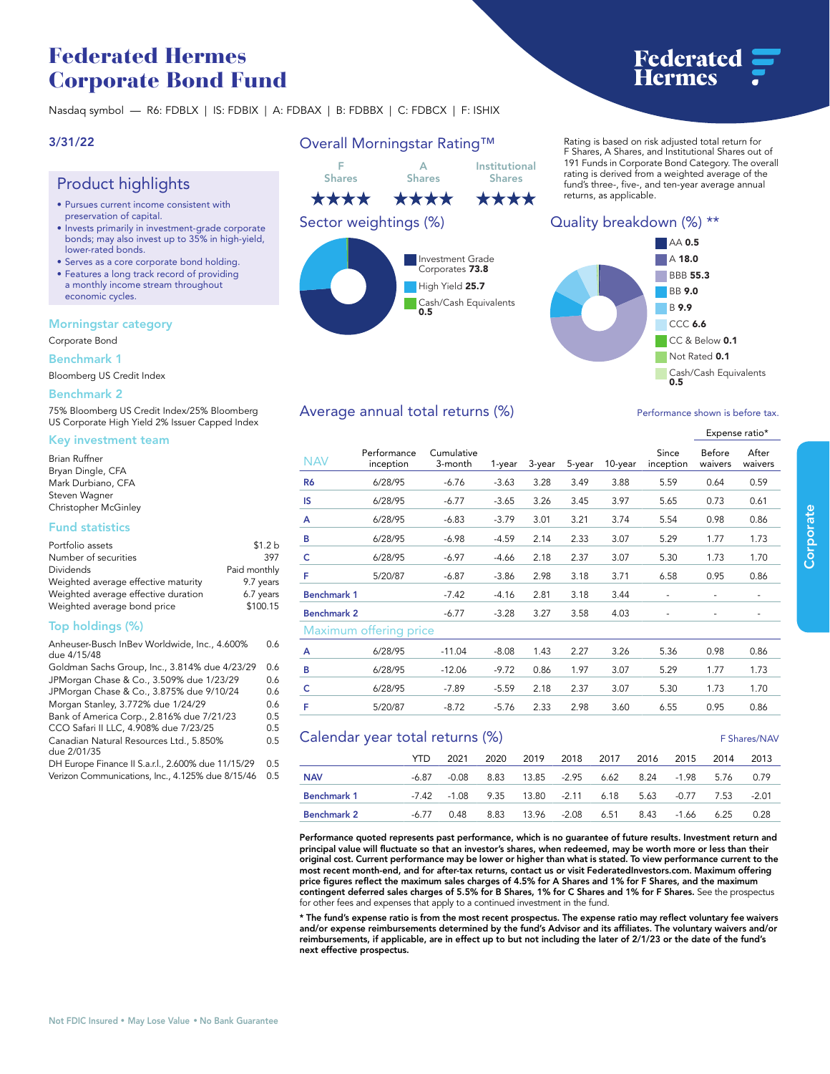# **Federated Hermes Corporate Bond Fund**

**Nasdaq symbol — R6: FDBLX | IS: FDBIX | A: FDBAX | B: FDBBX | C: FDBCX | F: ISHIX**

# **3/31/22**

# **Product highlights**

- **• Pursues current income consistent with preservation of capital.**
- **• Invests primarily in investment-grade corporate bonds; may also invest up to 35% in high-yield, lower-rated bonds.**
- **• Serves as a core corporate bond holding. • Features a long track record of providing**
- **a monthly income stream throughout economic cycles.**

### **Morningstar category**

**Corporate Bond**

### **Benchmark 1**

**Bloomberg US Credit Index**

### **Benchmark 2**

**75% Bloomberg US Credit Index/25% Bloomberg US Corporate High Yield 2% Issuer Capped Index**

### **Key investment team**

| Brian Ruffner        |  |
|----------------------|--|
| Bryan Dingle, CFA    |  |
| Mark Durbiano, CFA   |  |
| Steven Wagner        |  |
| Christopher McGinley |  |

### **Fund statistics**

| Portfolio assets                    | \$1.2 <sub>b</sub> |
|-------------------------------------|--------------------|
| Number of securities                | 397                |
| Dividends                           | Paid monthly       |
| Weighted average effective maturity | 9.7 years          |
| Weighted average effective duration | 6.7 years          |
| Weighted average bond price         | \$100.15           |

# **Top holdings (%)**

| Anheuser-Busch InBev Worldwide, Inc., 4.600%<br>due 4/15/48 | 0.6 |
|-------------------------------------------------------------|-----|
| Goldman Sachs Group, Inc., 3.814% due 4/23/29               | 0.6 |
| JPMorgan Chase & Co., 3.509% due 1/23/29                    | 0.6 |
| JPMorgan Chase & Co., 3.875% due 9/10/24                    | 0.6 |
| Morgan Stanley, 3.772% due 1/24/29                          | 0.6 |
| Bank of America Corp., 2.816% due 7/21/23                   | 0.5 |
| CCO Safari II LLC, 4.908% due 7/23/25                       | 0.5 |
| Canadian Natural Resources Ltd., 5.850%<br>due 2/01/35      | 0.5 |
| DH Europe Finance II S.a.r.l., 2.600% due 11/15/29          | 0.5 |

**Verizon Communications, Inc., 4.125% due 8/15/46 0.5**

# **Overall Morningstar Rating™**



#### **Rating is based on risk adjusted total return for F Shares, A Shares, and Institutional Shares out of 191 Funds in Corporate Bond Category. The overall rating is derived from a weighted average of the fund's three-, five-, and ten-year average annual returns, as applicable.**

Federated

# **Quality breakdown (%) \*\***



### Average annual total returns (%) *Performance shown is before tax.*

|                    |                          |                       |         |        |        |         |                    | Expense ratio*           |                  |  |
|--------------------|--------------------------|-----------------------|---------|--------|--------|---------|--------------------|--------------------------|------------------|--|
| <b>NAV</b>         | Performance<br>inception | Cumulative<br>3-month | 1-year  | 3-year | 5-year | 10-year | Since<br>inception | Before<br>waivers        | After<br>waivers |  |
| R <sub>6</sub>     | 6/28/95                  | $-6.76$               | $-3.63$ | 3.28   | 3.49   | 3.88    | 5.59               | 0.64                     | 0.59             |  |
| IS                 | 6/28/95                  | $-6.77$               | $-3.65$ | 3.26   | 3.45   | 3.97    | 5.65               | 0.73                     | 0.61             |  |
| A                  | 6/28/95                  | $-6.83$               | $-3.79$ | 3.01   | 3.21   | 3.74    | 5.54               | 0.98                     | 0.86             |  |
| B                  | 6/28/95                  | $-6.98$               | $-4.59$ | 2.14   | 2.33   | 3.07    | 5.29               | 1.77                     | 1.73             |  |
| c                  | 6/28/95                  | $-6.97$               | $-4.66$ | 2.18   | 2.37   | 3.07    | 5.30               | 1.73                     | 1.70             |  |
| F                  | 5/20/87                  | $-6.87$               | $-3.86$ | 2.98   | 3.18   | 3.71    | 6.58               | 0.95                     | 0.86             |  |
| <b>Benchmark 1</b> |                          | $-7.42$               | $-4.16$ | 2.81   | 3.18   | 3.44    | ٠                  |                          | ٠                |  |
| <b>Benchmark 2</b> |                          | $-6.77$               | $-3.28$ | 3.27   | 3.58   | 4.03    | ٠                  | $\overline{\phantom{a}}$ | -                |  |
|                    | Maximum offering price   |                       |         |        |        |         |                    |                          |                  |  |
| A                  | 6/28/95                  | $-11.04$              | $-8.08$ | 1.43   | 2.27   | 3.26    | 5.36               | 0.98                     | 0.86             |  |
| B                  | 6/28/95                  | $-12.06$              | $-9.72$ | 0.86   | 1.97   | 3.07    | 5.29               | 1.77                     | 1.73             |  |
| c                  | 6/28/95                  | $-7.89$               | $-5.59$ | 2.18   | 2.37   | 3.07    | 5.30               | 1.73                     | 1.70             |  |
| F                  | 5/20/87                  | $-8.72$               | $-5.76$ | 2.33   | 2.98   | 3.60    | 6.55               | 0.95                     | 0.86             |  |

## **Calendar year total returns (%) 
<b>Calendar year total returns (%)**

|                    | YTD. | 2021       | 2020 2019 2018 2017 2016 2015 2014                     |  |  | 2013    |
|--------------------|------|------------|--------------------------------------------------------|--|--|---------|
| <b>NAV</b>         |      |            | -6.87 -0.08 8.83 13.85 -2.95 6.62 8.24 -1.98 5.76 0.79 |  |  |         |
| Benchmark 1        |      |            | -7.42 -1.08 9.35 13.80 -2.11 6.18 5.63 -0.77 7.53      |  |  | $-2.01$ |
| <b>Benchmark 2</b> |      | -6.77 0.48 | 8.83 13.96 -2.08 6.51 8.43 -1.66 6.25                  |  |  | 0.28    |

**Performance quoted represents past performance, which is no guarantee of future results. Investment return and principal value will fluctuate so that an investor's shares, when redeemed, may be worth more or less than their original cost. Current performance may be lower or higher than what is stated. To view performance current to the most recent month-end, and for after-tax returns, contact us or visit [FederatedInvestors.com.](www.federatedinvestors.com) Maximum offering**  price figures reflect the maximum sales charges of 4.5% for A Shares and 1% for F Shares, and the maximum<br>contingent deferred sales charges of 5.5% for B Shares, 1% for C Shares and 1% for F Shares. See the prospectus **for other fees and expenses that apply to a continued investment in the fund.**

\* The fund's expense ratio is from the most recent prospectus. The expense ratio may reflect voluntary fee waivers<br>and/or expense reimbursements determined by the fund's Advisor and its affiliates. The voluntary waivers an **reimbursements, if applicable, are in effect up to but not including the later of 2/1/23 or the date of the fund's next effective prospectus.**